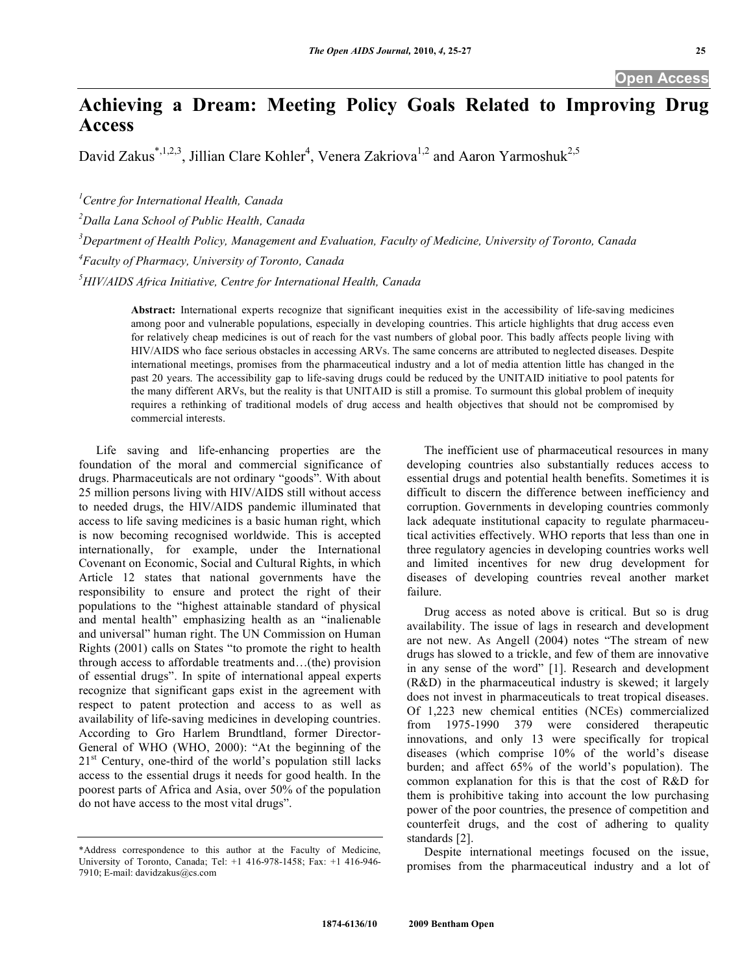## **Achieving a Dream: Meeting Policy Goals Related to Improving Drug Access**

David Zakus<sup>\*,1,2,3</sup>, Jillian Clare Kohler<sup>4</sup>, Venera Zakriova<sup>1,2</sup> and Aaron Yarmoshuk<sup>2,5</sup>

*1 Centre for International Health, Canada* 

*2 Dalla Lana School of Public Health, Canada* 

*3 Department of Health Policy, Management and Evaluation, Faculty of Medicine, University of Toronto, Canada* 

*4 Faculty of Pharmacy, University of Toronto, Canada* 

*5 HIV/AIDS Africa Initiative, Centre for International Health, Canada* 

**Abstract:** International experts recognize that significant inequities exist in the accessibility of life-saving medicines among poor and vulnerable populations, especially in developing countries. This article highlights that drug access even for relatively cheap medicines is out of reach for the vast numbers of global poor. This badly affects people living with HIV/AIDS who face serious obstacles in accessing ARVs. The same concerns are attributed to neglected diseases. Despite international meetings, promises from the pharmaceutical industry and a lot of media attention little has changed in the past 20 years. The accessibility gap to life-saving drugs could be reduced by the UNITAID initiative to pool patents for the many different ARVs, but the reality is that UNITAID is still a promise. To surmount this global problem of inequity requires a rethinking of traditional models of drug access and health objectives that should not be compromised by commercial interests.

 Life saving and life-enhancing properties are the foundation of the moral and commercial significance of drugs. Pharmaceuticals are not ordinary "goods". With about 25 million persons living with HIV/AIDS still without access to needed drugs, the HIV/AIDS pandemic illuminated that access to life saving medicines is a basic human right, which is now becoming recognised worldwide. This is accepted internationally, for example, under the International Covenant on Economic, Social and Cultural Rights, in which Article 12 states that national governments have the responsibility to ensure and protect the right of their populations to the "highest attainable standard of physical and mental health" emphasizing health as an "inalienable and universal" human right. The UN Commission on Human Rights (2001) calls on States "to promote the right to health through access to affordable treatments and…(the) provision of essential drugs". In spite of international appeal experts recognize that significant gaps exist in the agreement with respect to patent protection and access to as well as availability of life-saving medicines in developing countries. According to Gro Harlem Brundtland, former Director-General of WHO (WHO, 2000): "At the beginning of the  $21<sup>st</sup>$  Century, one-third of the world's population still lacks access to the essential drugs it needs for good health. In the poorest parts of Africa and Asia, over 50% of the population do not have access to the most vital drugs".

 The inefficient use of pharmaceutical resources in many developing countries also substantially reduces access to essential drugs and potential health benefits. Sometimes it is difficult to discern the difference between inefficiency and corruption. Governments in developing countries commonly lack adequate institutional capacity to regulate pharmaceutical activities effectively. WHO reports that less than one in three regulatory agencies in developing countries works well and limited incentives for new drug development for diseases of developing countries reveal another market failure.

 Drug access as noted above is critical. But so is drug availability. The issue of lags in research and development are not new. As Angell (2004) notes "The stream of new drugs has slowed to a trickle, and few of them are innovative in any sense of the word" [1]. Research and development (R&D) in the pharmaceutical industry is skewed; it largely does not invest in pharmaceuticals to treat tropical diseases. Of 1,223 new chemical entities (NCEs) commercialized from 1975-1990 379 were considered therapeutic innovations, and only 13 were specifically for tropical diseases (which comprise 10% of the world's disease burden; and affect 65% of the world's population). The common explanation for this is that the cost of R&D for them is prohibitive taking into account the low purchasing power of the poor countries, the presence of competition and counterfeit drugs, and the cost of adhering to quality standards [2].

 Despite international meetings focused on the issue, promises from the pharmaceutical industry and a lot of

<sup>\*</sup>Address correspondence to this author at the Faculty of Medicine, University of Toronto, Canada; Tel: +1 416-978-1458; Fax: +1 416-946- 7910; E-mail: davidzakus@cs.com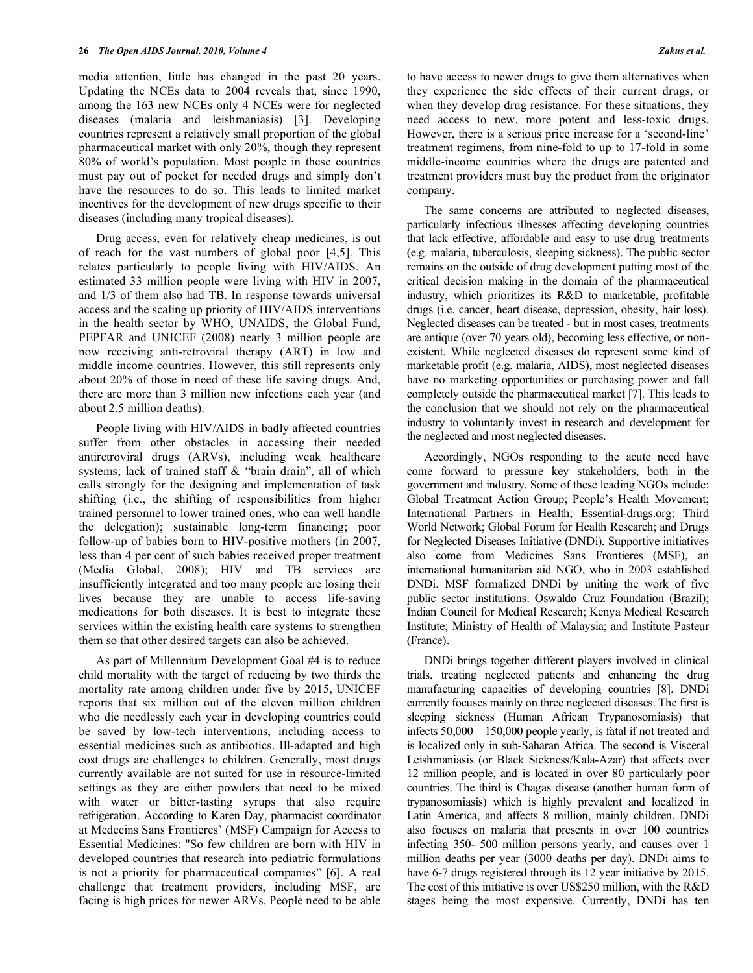media attention, little has changed in the past 20 years. Updating the NCEs data to 2004 reveals that, since 1990, among the 163 new NCEs only 4 NCEs were for neglected diseases (malaria and leishmaniasis) [3]. Developing countries represent a relatively small proportion of the global pharmaceutical market with only 20%, though they represent 80% of world's population. Most people in these countries must pay out of pocket for needed drugs and simply don't have the resources to do so. This leads to limited market incentives for the development of new drugs specific to their diseases (including many tropical diseases).

 Drug access, even for relatively cheap medicines, is out of reach for the vast numbers of global poor [4,5]. This relates particularly to people living with HIV/AIDS. An estimated 33 million people were living with HIV in 2007, and 1/3 of them also had TB. In response towards universal access and the scaling up priority of HIV/AIDS interventions in the health sector by WHO, UNAIDS, the Global Fund, PEPFAR and UNICEF (2008) nearly 3 million people are now receiving anti-retroviral therapy (ART) in low and middle income countries. However, this still represents only about 20% of those in need of these life saving drugs. And, there are more than 3 million new infections each year (and about 2.5 million deaths).

 People living with HIV/AIDS in badly affected countries suffer from other obstacles in accessing their needed antiretroviral drugs (ARVs), including weak healthcare systems; lack of trained staff & "brain drain", all of which calls strongly for the designing and implementation of task shifting (i.e., the shifting of responsibilities from higher trained personnel to lower trained ones, who can well handle the delegation); sustainable long-term financing; poor follow-up of babies born to HIV-positive mothers (in 2007, less than 4 per cent of such babies received proper treatment (Media Global, 2008); HIV and TB services are insufficiently integrated and too many people are losing their lives because they are unable to access life-saving medications for both diseases. It is best to integrate these services within the existing health care systems to strengthen them so that other desired targets can also be achieved.

 As part of Millennium Development Goal #4 is to reduce child mortality with the target of reducing by two thirds the mortality rate among children under five by 2015, UNICEF reports that six million out of the eleven million children who die needlessly each year in developing countries could be saved by low-tech interventions, including access to essential medicines such as antibiotics. Ill-adapted and high cost drugs are challenges to children. Generally, most drugs currently available are not suited for use in resource-limited settings as they are either powders that need to be mixed with water or bitter-tasting syrups that also require refrigeration. According to Karen Day, pharmacist coordinator at Medecins Sans Frontieres' (MSF) Campaign for Access to Essential Medicines: "So few children are born with HIV in developed countries that research into pediatric formulations is not a priority for pharmaceutical companies" [6]. A real challenge that treatment providers, including MSF, are facing is high prices for newer ARVs. People need to be able

to have access to newer drugs to give them alternatives when they experience the side effects of their current drugs, or when they develop drug resistance. For these situations, they need access to new, more potent and less-toxic drugs. However, there is a serious price increase for a 'second-line' treatment regimens, from nine-fold to up to 17-fold in some middle-income countries where the drugs are patented and treatment providers must buy the product from the originator company.

 The same concerns are attributed to neglected diseases, particularly infectious illnesses affecting developing countries that lack effective, affordable and easy to use drug treatments (e.g. malaria, tuberculosis, sleeping sickness). The public sector remains on the outside of drug development putting most of the critical decision making in the domain of the pharmaceutical industry, which prioritizes its R&D to marketable, profitable drugs (i.e. cancer, heart disease, depression, obesity, hair loss). Neglected diseases can be treated - but in most cases, treatments are antique (over 70 years old), becoming less effective, or nonexistent. While neglected diseases do represent some kind of marketable profit (e.g. malaria, AIDS), most neglected diseases have no marketing opportunities or purchasing power and fall completely outside the pharmaceutical market [7]. This leads to the conclusion that we should not rely on the pharmaceutical industry to voluntarily invest in research and development for the neglected and most neglected diseases.

 Accordingly, NGOs responding to the acute need have come forward to pressure key stakeholders, both in the government and industry. Some of these leading NGOs include: Global Treatment Action Group; People's Health Movement; International Partners in Health; Essential-drugs.org; Third World Network; Global Forum for Health Research; and Drugs for Neglected Diseases Initiative (DNDi). Supportive initiatives also come from Medicines Sans Frontieres (MSF), an international humanitarian aid NGO, who in 2003 established DNDi. MSF formalized DNDi by uniting the work of five public sector institutions: Oswaldo Cruz Foundation (Brazil); Indian Council for Medical Research; Kenya Medical Research Institute; Ministry of Health of Malaysia; and Institute Pasteur (France).

 DNDi brings together different players involved in clinical trials, treating neglected patients and enhancing the drug manufacturing capacities of developing countries [8]. DNDi currently focuses mainly on three neglected diseases. The first is sleeping sickness (Human African Trypanosomiasis) that infects 50,000 – 150,000 people yearly, is fatal if not treated and is localized only in sub-Saharan Africa. The second is Visceral Leishmaniasis (or Black Sickness/Kala-Azar) that affects over 12 million people, and is located in over 80 particularly poor countries. The third is Chagas disease (another human form of trypanosomiasis) which is highly prevalent and localized in Latin America, and affects 8 million, mainly children. DNDi also focuses on malaria that presents in over 100 countries infecting 350- 500 million persons yearly, and causes over 1 million deaths per year (3000 deaths per day). DNDi aims to have 6-7 drugs registered through its 12 year initiative by 2015. The cost of this initiative is over US\$250 million, with the R&D stages being the most expensive. Currently, DNDi has ten